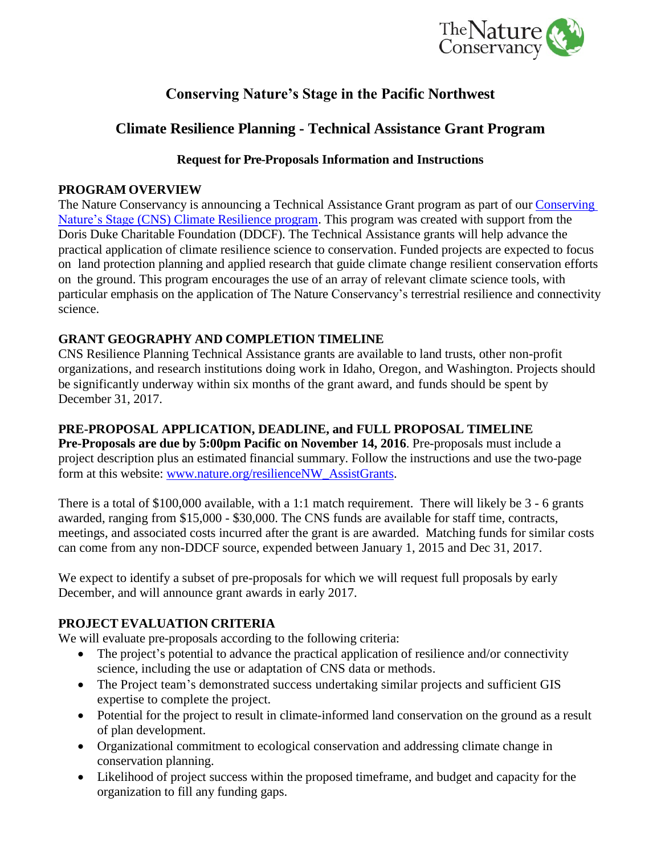

# **Conserving Nature's Stage in the Pacific Northwest**

## **Climate Resilience Planning - Technical Assistance Grant Program**

#### **Request for Pre-Proposals Information and Instructions**

#### **PROGRAM OVERVIEW**

The Nature Conservancy is announcing a Technical Assistance Grant program as part of our [Conserving](http://www.nature.org/resilienceNW)  Nature's Stage [\(CNS\) Climate Resilience program.](http://www.nature.org/resilienceNW) This program was created with support from the Doris Duke Charitable Foundation (DDCF). The Technical Assistance grants will help advance the practical application of climate resilience science to conservation. Funded projects are expected to focus on land protection planning and applied research that guide climate change resilient conservation efforts on the ground. This program encourages the use of an array of relevant climate science tools, with particular emphasis on the application of The Nature Conservancy's terrestrial resilience and connectivity science.

## **GRANT GEOGRAPHY AND COMPLETION TIMELINE**

CNS Resilience Planning Technical Assistance grants are available to land trusts, other non-profit organizations, and research institutions doing work in Idaho, Oregon, and Washington. Projects should be significantly underway within six months of the grant award, and funds should be spent by December 31, 2017.

## **PRE-PROPOSAL APPLICATION, DEADLINE, and FULL PROPOSAL TIMELINE**

**Pre-Proposals are due by 5:00pm Pacific on November 14, 2016**. Pre-proposals must include a project description plus an estimated financial summary. Follow the instructions and use the two-page form at this website: [www.nature.org/resilienceNW\\_AssistGrants.](http://www.nature.org/resilienceNW_AssistGrants)

There is a total of \$100,000 available, with a 1:1 match requirement. There will likely be 3 - 6 grants awarded, ranging from \$15,000 - \$30,000. The CNS funds are available for staff time, contracts, meetings, and associated costs incurred after the grant is are awarded. Matching funds for similar costs can come from any non-DDCF source, expended between January 1, 2015 and Dec 31, 2017.

We expect to identify a subset of pre-proposals for which we will request full proposals by early December, and will announce grant awards in early 2017.

## **PROJECT EVALUATION CRITERIA**

We will evaluate pre-proposals according to the following criteria:

- The project's potential to advance the practical application of resilience and/or connectivity science, including the use or adaptation of CNS data or methods.
- The Project team's demonstrated success undertaking similar projects and sufficient GIS expertise to complete the project.
- Potential for the project to result in climate-informed land conservation on the ground as a result of plan development.
- Organizational commitment to ecological conservation and addressing climate change in conservation planning.
- Likelihood of project success within the proposed timeframe, and budget and capacity for the organization to fill any funding gaps.